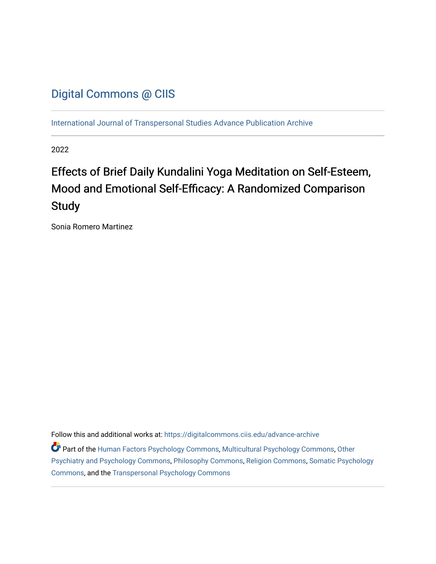## [Digital Commons @ CIIS](https://digitalcommons.ciis.edu/)

[International Journal of Transpersonal Studies Advance Publication Archive](https://digitalcommons.ciis.edu/advance-archive)

2022

# Effects of Brief Daily Kundalini Yoga Meditation on Self-Esteem, Mood and Emotional Self-Efficacy: A Randomized Comparison **Study**

Sonia Romero Martinez

Follow this and additional works at: [https://digitalcommons.ciis.edu/advance-archive](https://digitalcommons.ciis.edu/advance-archive?utm_source=digitalcommons.ciis.edu%2Fadvance-archive%2F41&utm_medium=PDF&utm_campaign=PDFCoverPages)

Part of the [Human Factors Psychology Commons,](https://network.bepress.com/hgg/discipline/1412?utm_source=digitalcommons.ciis.edu%2Fadvance-archive%2F41&utm_medium=PDF&utm_campaign=PDFCoverPages) [Multicultural Psychology Commons,](https://network.bepress.com/hgg/discipline/1237?utm_source=digitalcommons.ciis.edu%2Fadvance-archive%2F41&utm_medium=PDF&utm_campaign=PDFCoverPages) [Other](https://network.bepress.com/hgg/discipline/992?utm_source=digitalcommons.ciis.edu%2Fadvance-archive%2F41&utm_medium=PDF&utm_campaign=PDFCoverPages) [Psychiatry and Psychology Commons](https://network.bepress.com/hgg/discipline/992?utm_source=digitalcommons.ciis.edu%2Fadvance-archive%2F41&utm_medium=PDF&utm_campaign=PDFCoverPages), [Philosophy Commons,](https://network.bepress.com/hgg/discipline/525?utm_source=digitalcommons.ciis.edu%2Fadvance-archive%2F41&utm_medium=PDF&utm_campaign=PDFCoverPages) [Religion Commons](https://network.bepress.com/hgg/discipline/538?utm_source=digitalcommons.ciis.edu%2Fadvance-archive%2F41&utm_medium=PDF&utm_campaign=PDFCoverPages), [Somatic Psychology](https://network.bepress.com/hgg/discipline/1431?utm_source=digitalcommons.ciis.edu%2Fadvance-archive%2F41&utm_medium=PDF&utm_campaign=PDFCoverPages)  [Commons](https://network.bepress.com/hgg/discipline/1431?utm_source=digitalcommons.ciis.edu%2Fadvance-archive%2F41&utm_medium=PDF&utm_campaign=PDFCoverPages), and the [Transpersonal Psychology Commons](https://network.bepress.com/hgg/discipline/1388?utm_source=digitalcommons.ciis.edu%2Fadvance-archive%2F41&utm_medium=PDF&utm_campaign=PDFCoverPages)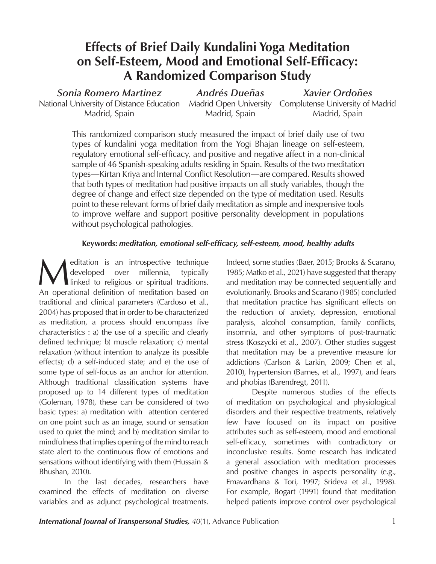## **Effects of Brief Daily Kundalini Yoga Meditation on Self-Esteem, Mood and Emotional Self-Efficacy: A Randomized Comparison Study**

*Sonia Romero Martinez* National University of Distance Education Madrid, Spain

*Andrés Dueñas* Madrid, Spain

Madrid Open University Complutense University of Madrid *Xavier Ordoñes* Madrid, Spain

This randomized comparison study measured the impact of brief daily use of two types of kundalini yoga meditation from the Yogi Bhajan lineage on self-esteem, regulatory emotional self-efficacy, and positive and negative affect in a non-clinical sample of 46 Spanish-speaking adults residing in Spain. Results of the two meditation types—Kirtan Kriya and Internal Conflict Resolution—are compared. Results showed that both types of meditation had positive impacts on all study variables, though the degree of change and effect size depended on the type of meditation used. Results point to these relevant forms of brief daily meditation as simple and inexpensive tools to improve welfare and support positive personality development in populations without psychological pathologies.

## **Keywords:** *meditation, emotional self-efficacy, self-esteem, mood, healthy adults*

Meditation is an introspective technique<br>developed over millennia, typically<br>linked to religious or spiritual traditions.<br>An operational definition of meditation based on developed over millennia, typically linked to religious or spiritual traditions. An operational definition of meditation based on traditional and clinical parameters (Cardoso et al., 2004) has proposed that in order to be characterized as meditation, a process should encompass five characteristics : a) the use of a specific and clearly defined technique; b) muscle relaxation; c) mental relaxation (without intention to analyze its possible effects); d) a self-induced state; and e) the use of some type of self-focus as an anchor for attention. Although traditional classification systems have proposed up to 14 different types of meditation (Goleman, 1978), these can be considered of two basic types: a) meditation with attention centered on one point such as an image, sound or sensation used to quiet the mind; and b) meditation similar to mindfulness that implies opening of the mind to reach state alert to the continuous flow of emotions and sensations without identifying with them (Hussain & Bhushan, 2010).

In the last decades, researchers have examined the effects of meditation on diverse variables and as adjunct psychological treatments.

Indeed, some studies (Baer, 2015; Brooks & Scarano, 1985; Matko et al., 2021) have suggested that therapy and meditation may be connected sequentially and evolutionarily. Brooks and Scarano (1985) concluded that meditation practice has significant effects on the reduction of anxiety, depression, emotional paralysis, alcohol consumption, family conflicts, insomnia, and other symptoms of post-traumatic stress (Koszycki et al., 2007). Other studies suggest that meditation may be a preventive measure for addictions (Carlson & Larkin, 2009; Chen et al., 2010), hypertension (Barnes, et al., 1997), and fears and phobias (Barendregt, 2011).

Despite numerous studies of the effects of meditation on psychological and physiological disorders and their respective treatments, relatively few have focused on its impact on positive attributes such as self-esteem, mood and emotional self-efficacy, sometimes with contradictory or inconclusive results. Some research has indicated a general association with meditation processes and positive changes in aspects personality (e.g., Emavardhana & Tori, 1997; Srideva et al., 1998). For example, Bogart (1991) found that meditation helped patients improve control over psychological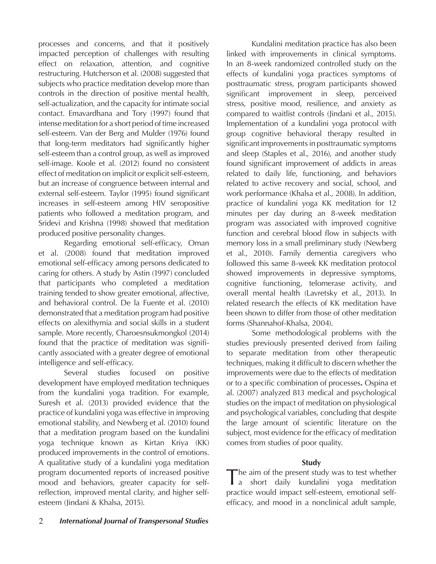processes and concerns, and that it positively impacted perception of challenges with resulting effect on relaxation, attention, and cognitive restructuring. Hutcherson et al. (2008) suggested that subjects who practice meditation develop more than controls in the direction of positive mental health, self-actualization, and the capacity for intimate social contact. Emavardhana and Tory (1997) found that intense meditation for a short period of time increased self-esteem. Van der Berg and Mulder (1976) found that long-term meditators had significantly higher self-esteem than a control group, as well as improved self-image. Koole et al. (2012) found no consistent effect of meditation on implicit or explicit self-esteem, but an increase of congruence between internal and external self-esteem. Taylor (1995) found significant increases in self-esteem among HIV seropositive patients who followed a meditation program, and Sridevi and Krishna (1998) showed that meditation produced positive personality changes.

Regarding emotional self-efficacy, Oman et al. (2008) found that meditation improved emotional self-efficacy among persons dedicated to caring for others. A study by Astin (1997) concluded that participants who completed a meditation training tended to show greater emotional, affective, and behavioral control. De la Fuente et al. (2010) demonstrated that a meditation program had positive effects on alexithymia and social skills in a student sample. More recently, Charoesnsukmongkol (2014) found that the practice of meditation was significantly associated with a greater degree of emotional intelligence and self-efficacy.

Several studies focused on positive development have employed meditation techniques from the kundalini yoga tradition. For example, Suresh et al. (2013) provided evidence that the practice of kundalini yoga was effective in improving emotional stability, and Newberg et al. (2010) found that a meditation program based on the kundalini yoga technique known as Kirtan Kriya (KK) produced improvements in the control of emotions. A qualitative study of a kundalini yoga meditation program documented reports of increased positive mood and behaviors, greater capacity for selfreflection, improved mental clarity, and higher selfesteem (Jindani & Khalsa, 2015).

Kundalini meditation practice has also been linked with improvements in clinical symptoms. In an 8-week randomized controlled study on the effects of kundalini yoga practices symptoms of posttraumatic stress, program participants showed significant improvement in sleep, perceived stress, positive mood, resilience, and anxiety as compared to waitlist controls (Jindani et al., 2015). Implementation of a kundalini yoga protocol with group cognitive behavioral therapy resulted in significant improvements in posttraumatic symptoms and sleep (Staples et al., 2016), and another study found significant improvement of addicts in areas related to daily life, functioning, and behaviors related to active recovery and social, school, and work performance (Khalsa et al., 2008). In addition, practice of kundalini yoga KK meditation for 12 minutes per day during an 8-week meditation program was associated with improved cognitive function and cerebral blood flow in subjects with memory loss in a small preliminary study (Newberg et al., 2010). Family dementia caregivers who followed this same 8-week KK meditation protocol showed improvements in depressive symptoms, cognitive functioning, telomerase activity, and overall mental health (Lavretsky et al., 2013). In related research the effects of KK meditation have been shown to differ from those of other meditation forms (Shannahof-Khalsa, 2004).

Some methodological problems with the studies previously presented derived from failing to separate meditation from other therapeutic techniques, making it difficult to discern whether the improvements were due to the effects of meditation or to a specific combination of processes**.** Ospina et al. (2007) analyzed 813 medical and psychological studies on the impact of meditation on physiological and psychological variables, concluding that despite the large amount of scientific literature on the subject, most evidence for the efficacy of meditation comes from studies of poor quality.

## **Study**

The aim of the present study was to test whether<br>
a short daily kundalini yoga meditation practice would impact self-esteem, emotional selfefficacy, and mood in a nonclinical adult sample,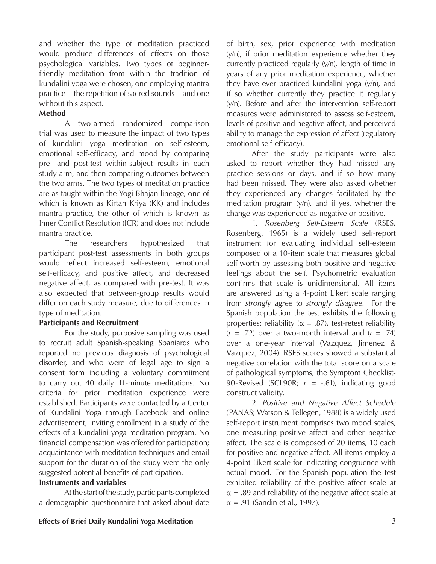and whether the type of meditation practiced would produce differences of effects on those psychological variables. Two types of beginnerfriendly meditation from within the tradition of kundalini yoga were chosen, one employing mantra practice—the repetition of sacred sounds—and one without this aspect.

## **Method**

A two-armed randomized comparison trial was used to measure the impact of two types of kundalini yoga meditation on self-esteem, emotional self-efficacy, and mood by comparing pre- and post-test within-subject results in each study arm, and then comparing outcomes between the two arms. The two types of meditation practice are as taught within the Yogi Bhajan lineage, one of which is known as Kirtan Kriya (KK) and includes mantra practice, the other of which is known as Inner Conflict Resolution (ICR) and does not include mantra practice.

The researchers hypothesized that participant post-test assessments in both groups would reflect increased self-esteem, emotional self-efficacy, and positive affect, and decreased negative affect, as compared with pre-test. It was also expected that between-group results would differ on each study measure, due to differences in type of meditation.

## **Participants and Recruitment**

For the study, purposive sampling was used to recruit adult Spanish-speaking Spaniards who reported no previous diagnosis of psychological disorder, and who were of legal age to sign a consent form including a voluntary commitment to carry out 40 daily 11-minute meditations. No criteria for prior meditation experience were established. Participants were contacted by a Center of Kundalini Yoga through Facebook and online advertisement, inviting enrollment in a study of the effects of a kundalini yoga meditation program. No financial compensation was offered for participation; acquaintance with meditation techniques and email support for the duration of the study were the only suggested potential benefits of participation.

## **Instruments and variables**

At the start of the study, participants completed a demographic questionnaire that asked about date of birth, sex, prior experience with meditation  $(y/n)$ , if prior meditation experience whether they currently practiced regularly (y/n), length of time in years of any prior meditation experience, whether they have ever practiced kundalini yoga (y/n), and if so whether currently they practice it regularly (y/n). Before and after the intervention self-report measures were administered to assess self-esteem, levels of positive and negative affect, and perceived ability to manage the expression of affect (regulatory emotional self-efficacy).

After the study participants were also asked to report whether they had missed any practice sessions or days, and if so how many had been missed. They were also asked whether they experienced any changes facilitated by the meditation program (y/n), and if yes, whether the change was experienced as negative or positive.

1. *Rosenberg Self-Esteem Scale* (RSES, Rosenberg, 1965) is a widely used self-report instrument for evaluating individual self-esteem composed of a 10-item scale that measures global self-worth by assessing both positive and negative feelings about the self. Psychometric evaluation confirms that scale is unidimensional. All items are answered using a 4-point Likert scale ranging from *strongly agree* to *strongly disagree*. For the Spanish population the test exhibits the following properties: reliability ( $\alpha = .87$ ), test-retest reliability  $(r = .72)$  over a two-month interval and  $(r = .74)$ over a one-year interval (Vazquez, Jimenez & Vazquez, 2004). RSES scores showed a substantial negative correlation with the total score on a scale of pathological symptoms, the Symptom Checklist-90-Revised (SCL90R; *r* = -.61), indicating good construct validity.

2. *Positive and Negative Affect Schedule* (PANAS; Watson & Tellegen, 1988) is a widely used self-report instrument comprises two mood scales, one measuring positive affect and other negative affect. The scale is composed of 20 items, 10 each for positive and negative affect. All items employ a 4-point Likert scale for indicating congruence with actual mood. For the Spanish population the test exhibited reliability of the positive affect scale at  $\alpha$  = .89 and reliability of the negative affect scale at  $\alpha$  = .91 (Sandin et al., 1997).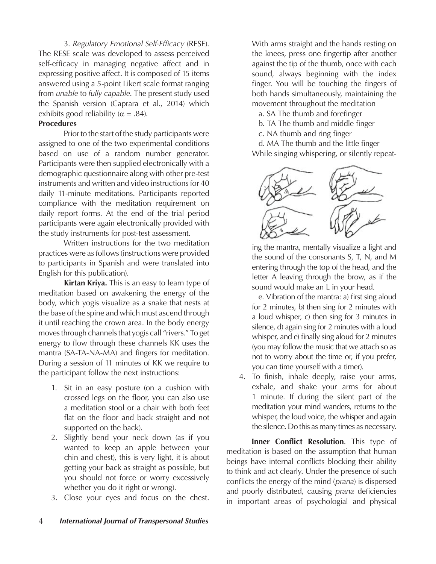3. *Regulatory Emotional Self-Efficacy* (RESE). The RESE scale was developed to assess perceived self-efficacy in managing negative affect and in expressing positive affect. It is composed of 15 items answered using a 5-point Likert scale format ranging from *unable* to *fully capable*. The present study used the Spanish version (Caprara et al., 2014) which exhibits good reliability ( $\alpha$  = .84).

## **Procedures**

Prior to the start of the study participants were assigned to one of the two experimental conditions based on use of a random number generator. Participants were then supplied electronically with a demographic questionnaire along with other pre-test instruments and written and video instructions for 40 daily 11-minute meditations. Participants reported compliance with the meditation requirement on daily report forms. At the end of the trial period participants were again electronically provided with the study instruments for post-test assessment.

Written instructions for the two meditation practices were as follows (instructions were provided to participants in Spanish and were translated into English for this publication).

**Kirtan Kriya.** This is an easy to learn type of meditation based on awakening the energy of the body, which yogis visualize as a snake that nests at the base of the spine and which must ascend through it until reaching the crown area. In the body energy moves through channels that yogis call "rivers." To get energy to flow through these channels KK uses the mantra (SA-TA-NA-MA) and fingers for meditation. During a session of 11 minutes of KK we require to the participant follow the next instructions:

- 1. Sit in an easy posture (on a cushion with crossed legs on the floor, you can also use a meditation stool or a chair with both feet flat on the floor and back straight and not supported on the back).
- 2. Slightly bend your neck down (as if you wanted to keep an apple between your chin and chest), this is very light, it is about getting your back as straight as possible, but you should not force or worry excessively whether you do it right or wrong).
- 3. Close your eyes and focus on the chest.

With arms straight and the hands resting on the knees, press one fingertip after another against the tip of the thumb, once with each sound, always beginning with the index finger. You will be touching the fingers of both hands simultaneously, maintaining the movement throughout the meditation

a. SA The thumb and forefinger

- b. TA The thumb and middle finger
- c. NA thumb and ring finger

 d. MA The thumb and the little finger While singing whispering, or silently repeat-



ing the mantra, mentally visualize a light and the sound of the consonants S, T, N, and M entering through the top of the head, and the letter A leaving through the brow, as if the sound would make an L in your head.

 e. Vibration of the mantra: a) first sing aloud for 2 minutes, b) then sing for 2 minutes with a loud whisper, c) then sing for 3 minutes in silence, d) again sing for 2 minutes with a loud whisper, and e) finally sing aloud for 2 minutes (you may follow the music that we attach so as not to worry about the time or, if you prefer, you can time yourself with a timer).

4. To finish, inhale deeply, raise your arms, exhale, and shake your arms for about 1 minute. If during the silent part of the meditation your mind wanders, returns to the whisper, the loud voice, the whisper and again the silence. Do this as many times as necessary.

**Inner Conflict Resolution**. This type of meditation is based on the assumption that human beings have internal conflicts blocking their ability to think and act clearly. Under the presence of such conflicts the energy of the mind (*prana*) is dispersed and poorly distributed, causing *prana* deficiencies in important areas of psychologial and physical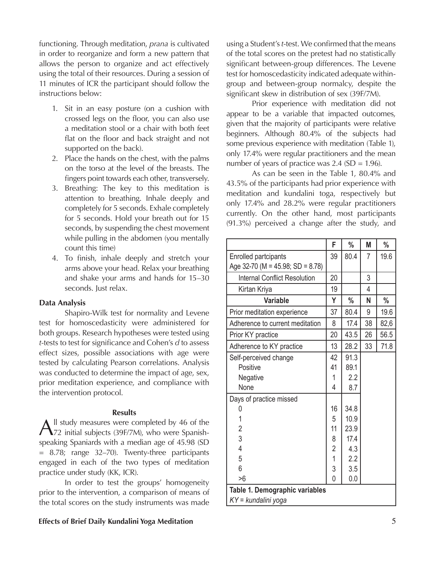functioning. Through meditation, *prana* is cultivated in order to reorganize and form a new pattern that allows the person to organize and act effectively using the total of their resources. During a session of 11 minutes of ICR the participant should follow the instructions below:

- 1. Sit in an easy posture (on a cushion with crossed legs on the floor, you can also use a meditation stool or a chair with both feet flat on the floor and back straight and not supported on the back).
- 2. Place the hands on the chest, with the palms on the torso at the level of the breasts. The fingers point towards each other, transversely.
- 3. Breathing: The key to this meditation is attention to breathing. Inhale deeply and completely for 5 seconds. Exhale completely for 5 seconds. Hold your breath out for 15 seconds, by suspending the chest movement while pulling in the abdomen (you mentally count this time)
- 4. To finish, inhale deeply and stretch your arms above your head. Relax your breathing and shake your arms and hands for 15–30 seconds. Just relax.

#### **Data Analysis**

Shapiro-Wilk test for normality and Levene test for homoscedasticity were administered for both groups. Research hypotheses were tested using *t*-tests to test for significance and Cohen's *d* to assess effect sizes, possible associations with age were tested by calculating Pearson correlations. Analysis was conducted to determine the impact of age, sex, prior meditation experience, and compliance with the intervention protocol.

#### **Results**

All study measures were completed by 46 of the 72 initial subjects (39F/7M), who were Spanishspeaking Spaniards with a median age of 45.98 (SD = 8.78; range 32–70). Twenty-three participants engaged in each of the two types of meditation practice under study (KK, ICR).

In order to test the groups' homogeneity prior to the intervention, a comparison of means of the total scores on the study instruments was made

using a Student's *t*-test. We confirmed that the means of the total scores on the pretest had no statistically significant between-group differences. The Levene test for homoscedasticity indicated adequate withingroup and between-group normalcy, despite the significant skew in distribution of sex (39F/7M).

Prior experience with meditation did not appear to be a variable that impacted outcomes, given that the majority of participants were relative beginners. Although 80.4% of the subjects had some previous experience with meditation (Table 1), only 17.4% were regular practitioners and the mean number of years of practice was  $2.4$  (SD = 1.96).

As can be seen in the Table 1, 80.4% and 43.5% of the participants had prior experience with meditation and kundalini toga, respectively but only 17.4% and 28.2% were regular practitioners currently. On the other hand, most participants (91.3%) perceived a change after the study, and

|                                     | F                       | %             | M  | $\%$ |
|-------------------------------------|-------------------------|---------------|----|------|
| <b>Enrolled partcipants</b>         | 39                      | 80.4          | 7  | 19.6 |
| Age 32-70 (M = 45.98; SD = 8.78)    |                         |               |    |      |
| <b>Internal Conflict Resolution</b> | 20                      |               | 3  |      |
| Kirtan Kriya                        | 19                      |               | 4  |      |
| <b>Variable</b>                     | Y                       | $\frac{0}{0}$ | N  | $\%$ |
| Prior meditation experience         | 37                      | 80.4          | 9  | 19.6 |
| Adherence to current meditation     | 8                       | 17.4          | 38 | 82,6 |
| Prior KY practice                   | 20                      | 43.5          | 26 | 56.5 |
| Adherence to KY practice            | 13                      | 28.2          | 33 | 71.8 |
| Self-perceived change               | 42                      | 91.3          |    |      |
| Positive                            | 41                      | 89.1          |    |      |
| Negative                            | 1                       | 2.2           |    |      |
| None                                | 4                       | 8.7           |    |      |
| Days of practice missed             |                         |               |    |      |
| 0                                   | 16                      | 34.8          |    |      |
| 1                                   | 5                       | 10.9          |    |      |
| $\overline{2}$                      | 11                      | 23.9          |    |      |
| 3                                   | 8                       | 17.4          |    |      |
| $\overline{4}$                      | $\overline{\mathbf{c}}$ | 4.3           |    |      |
| 5                                   | $\overline{1}$          | 2.2           |    |      |
| 6                                   | 3                       | 3.5           |    |      |
| >6                                  | $\overline{0}$          | 0.0           |    |      |
| Table 1. Demographic variables      |                         |               |    |      |
| KY = kundalini yoga                 |                         |               |    |      |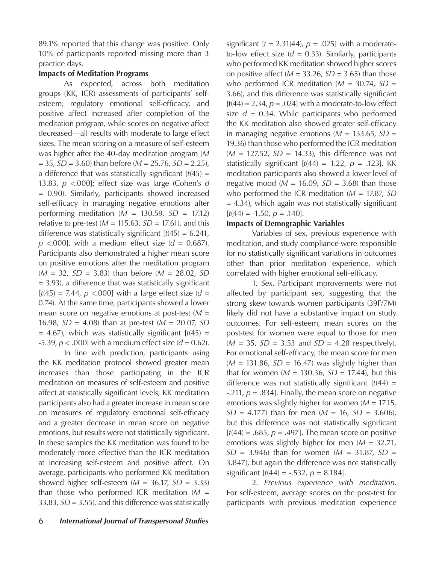89.1% reported that this change was positive. Only 10% of participants reported missing more than 3 practice days.

## **Impacts of Meditation Programs**

As expected, across both meditation groups (KK, ICR) assessments of participants' selfesteem, regulatory emotional self-efficacy, and positive affect increased after completion of the meditation program, while scores on negative affect decreased—all results with moderate to large effect sizes. The mean scoring on a measure of self-esteem was higher after the 40-day meditation program (*M* = 35, *SD* = 3.60) than before (*M* = 25.76, *SD* = 2.25), a difference that was statistically significant  $[t(45) =$ 13.83, *p* <.000]; effect size was large (Cohen's *d* = 0.90). Similarly, participants showed increased self-efficacy in managing negative emotions after performing meditation ( $M = 130.59$ ,  $SD = 17.12$ ) relative to pre-test  $(M = 115.63, SD = 17.61)$ , and this difference was statistically significant [*t*(45) = 6.241,  $p$  <.000], with a medium effect size ( $d = 0.687$ ). Participants also demonstrated a higher mean score on positive emotions after the meditation program (*M* = 32, *SD* = 3.83) than before (*M* = 28.02, *SD*  $= 3.93$ ), a difference that was statistically significant  $[t(45) = 7.44, p < .000]$  with a large effect size (*d* = 0.74). At the same time, participants showed a lower mean score on negative emotions at post-test (*M* = 16.98, *SD* = 4.08) than at pre-test (*M* = 20.07, *SD*   $= 4.67$ ), which was statistically significant  $[t(45) =$  $-5.39$ ,  $p < .000$ ] with a medium effect size ( $d = 0.62$ ).

In line with prediction, participants using the KK meditation protocol showed greater mean increases than those participating in the ICR meditation on measures of self-esteem and positive affect at statistically significant levels; KK meditation participants also had a greater increase in mean score on measures of regulatory emotional self-efficacy and a greater decrease in mean score on negative emotions, but results were not statistically significant. In these samples the KK meditation was found to be moderately more effective than the ICR meditation at increasing self-esteem and positive affect. On average, participants who performed KK meditation showed higher self-esteem  $(M = 36.17, SD = 3.33)$ than those who performed ICR meditation (*M* = 33.83, *SD* = 3.55), and this difference was statistically significant  $[t = 2.31(44), p = .025]$  with a moderateto-low effect size  $(d = 0.33)$ . Similarly, participants who performed KK meditation showed higher scores on positive affect ( $M = 33.26$ ,  $SD = 3.65$ ) than those who performed ICR meditation (*M* = 30.74, *SD* = 3.66), and this difference was statistically significant  $[t(44) = 2.34, p = .024]$  with a moderate-to-low effect size  $d = 0.34$ . While participants who performed the KK meditation also showed greater self-efficacy in managing negative emotions  $(M = 133.65, SD =$ 19.36) than those who performed the ICR meditation  $(M = 127.52, SD = 14.33)$ , this difference was not statistically significant  $[t(44) = 1.22, p = .123]$ . KK meditation participants also showed a lower level of negative mood ( $M = 16.09$ ,  $SD = 3.68$ ) than those who performed the ICR meditation (*M* = 17.87, *SD* = 4.34), which again was not statistically significant  $[t(44) = -1.50, p = .140].$ 

## **Impacts of Demographic Variables**

Variables of sex, previous experience with meditation, and study compliance were responsible for no statistically significant variations in outcomes other than prior meditation experience, which correlated with higher emotional self-efficacy.

1. *Sex*. Participant mprovements were not affected by participant sex, suggesting that the strong skew towards women participants (39F/7M) likely did not have a substantive impact on study outcomes. For self-esteem, mean scores on the post-test for women were equal to those for men  $(M = 35, SD = 3.53$  and  $SD = 4.28$  respectively). For emotional self-efficacy, the mean score for men (*M* = 131.86, *SD* = 16.47) was slightly higher than that for women ( $M = 130.36$ ,  $SD = 17.44$ ), but this difference was not statistically significant  $[t(44) =$ -.211, *p* = .834]. Finally, the mean score on negative emotions was slightly higher for women (*M* = 17.15,  $SD = 4.177$ ) than for men ( $M = 16$ ,  $SD = 3.606$ ), but this difference was not statistically significant  $[t(44) = .685, p = .497]$ . The mean score on positive emotions was slightly higher for men (*M* = 32.71, *SD* = 3.946) than for women (*M* = 31.87, *SD* = 3.847), but again the difference was not statistically significant  $[t(44) = -.532, p = 8.184]$ .

2. *Previous experience with meditation*. For self-esteem, average scores on the post-test for participants with previous meditation experience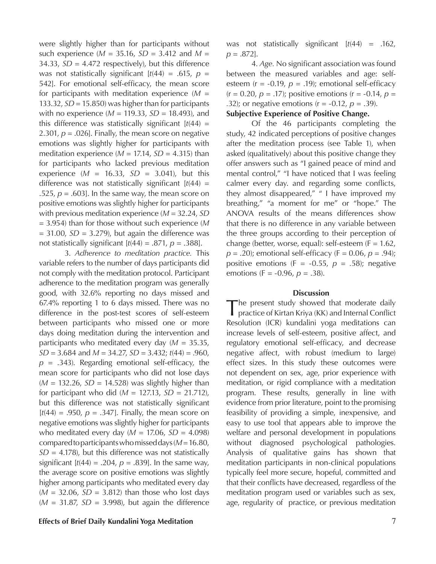were slightly higher than for participants without such experience ( $M = 35.16$ ,  $SD = 3.412$  and  $M =$ 34.33,  $SD = 4.472$  respectively), but this difference was not statistically significant  $[t(44) = .615, p =$ 542]. For emotional self-efficacy, the mean score for participants with meditation experience (*M* = 133.32, *SD* = 15.850) was higher than for participants with no experience (*M* = 119.33, *SD* = 18.493), and this difference was statistically significant  $[t(44) =$ 2.301,  $p = .026$ . Finally, the mean score on negative emotions was slightly higher for participants with meditation experience  $(M = 17.14, SD = 4.315)$  than for participants who lacked previous meditation experience  $(M = 16.33, SD = 3.041)$ , but this difference was not statistically significant  $[t(44) =$ .525,  $p = .603$ ]. In the same way, the mean score on positive emotions was slightly higher for participants with previous meditation experience (*M* = 32.24, *SD*  = 3.954) than for those without such experience (*M*  = 31.00, *SD* = 3.279), but again the difference was not statistically significant  $[t(44) = .871, p = .388]$ .

3. *Adherence to meditation practice.* This variable refers to the number of days participants did not comply with the meditation protocol. Participant adherence to the meditation program was generally good, with 32.6% reporting no days missed and 67.4% reporting 1 to 6 days missed. There was no difference in the post-test scores of self-esteem between participants who missed one or more days doing meditation during the intervention and participants who meditated every day (*M* = 35.35, *SD* = 3.684 and *M* = 34.27, *SD* = 3.432; *t*(44) = .960, *p* = .343). Regarding emotional self-efficacy, the mean score for participants who did not lose days  $(M = 132.26, SD = 14.528)$  was slightly higher than for participant who did (*M* = 127.13, *SD* = 21.712), but this difference was not statistically significant  $[t(44) = .950, p = .347]$ . Finally, the mean score on negative emotions was slightly higher for participants who meditated every day (*M* = 17.06, *SD* = 4.098) compared to participants who missed days (*M* = 16.80,  $SD = 4.178$ ), but this difference was not statistically significant  $[t(44) = .204, p = .839]$ . In the same way, the average score on positive emotions was slightly higher among participants who meditated every day (*M* = 32.06, *SD* = 3.812) than those who lost days  $(M = 31.87, SD = 3.998)$ , but again the difference

was not statistically significant [*t*(44) = .162, *p* = .872].

4. *Age.* No significant association was found between the measured variables and age: selfesteem ( $r = -0.19$ ,  $p = .19$ ); emotional self-efficacy  $(r = 0.20, p = .17)$ ; positive emotions  $(r = -0.14, p =$ *.*32); or negative emotions (r = -0.12, *p* = .39).

### **Subjective Experience of Positive Change.**

Of the 46 participants completing the study, 42 indicated perceptions of positive changes after the meditation process (see Table 1), when asked (qualitatively) about this positive change they offer answers such as "I gained peace of mind and mental control," "I have noticed that I was feeling calmer every day. and regarding some conflicts, they almost disappeared," " I have improved my breathing," "a moment for me" or "hope." The ANOVA results of the means differences show that there is no difference in any variable between the three groups according to their perception of change (better, worse, equal): self-esteem  $(F = 1.62)$ ,  $p = .20$ ; emotional self-efficacy ( $F = 0.06$ ,  $p = .94$ ); positive emotions (F =  $-0.55$ ,  $p = .58$ ); negative emotions (F = -0.96, *p* = .38).

#### **Discussion**

The present study showed that moderate daily practice of Kirtan Kriya (KK) and Internal Conflict Resolution (ICR) kundalini yoga meditations can increase levels of self-esteem, positive affect, and regulatory emotional self-efficacy, and decrease negative affect, with robust (medium to large) effect sizes. In this study these outcomes were not dependent on sex, age, prior experience with meditation, or rigid compliance with a meditation program. These results, generally in line with evidence from prior literature, point to the promising feasibility of providing a simple, inexpensive, and easy to use tool that appears able to improve the welfare and personal development in populations without diagnosed psychological pathologies. Analysis of qualitative gains has shown that meditation participants in non-clinical populations typically feel more secure, hopeful, committed and that their conflicts have decreased, regardless of the meditation program used or variables such as sex, age, regularity of practice, or previous meditation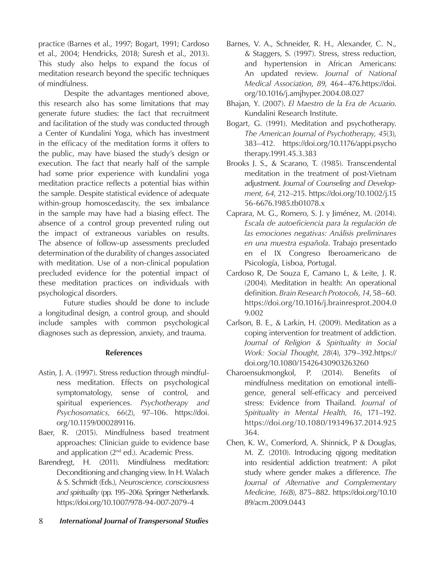practice (Barnes et al., 1997; Bogart, 1991; Cardoso et al., 2004; Hendricks, 2018; Suresh et al., 2013). This study also helps to expand the focus of meditation research beyond the specific techniques of mindfulness.

Despite the advantages mentioned above, this research also has some limitations that may generate future studies: the fact that recruitment and facilitation of the study was conducted through a Center of Kundalini Yoga, which has investment in the efficacy of the meditation forms it offers to the public, may have biased the study's design or execution. The fact that nearly half of the sample had some prior experience with kundalini yoga meditation practice reflects a potential bias within the sample. Despite statistical evidence of adequate within-group homoscedascity, the sex imbalance in the sample may have had a biasing effect. The absence of a control group prevented ruling out the impact of extraneous variables on results. The absence of follow-up assessments precluded determination of the durability of changes associated with meditation. Use of a non-clinical population precluded evidence for the potential impact of these meditation practices on individuals with psychological disorders.

Future studies should be done to include a longitudinal design, a control group, and should include samples with common psychological diagnoses such as depression, anxiety, and trauma.

## **References**

- Astin, J. A. (1997). Stress reduction through mindfulness meditation. Effects on psychological symptomatology, sense of control, and spiritual experiences. *Psychotherapy and Psychosomatics, 66*(2), 97–106. https://doi. org/10.1159/000289116.
- Baer, R. (2015). Mindfulness based treatment approaches: Clinician guide to evidence base and application (2<sup>nd</sup> ed.). Academic Press.
- Barendregt, H. (2011). Mindfulness meditation: Deconditioning and changing view. In H. Walach & S. Schmidt (Eds.), *Neuroscience, consciousness and spirituality* (pp. 195–206). Springer Netherlands. https://doi.org/10.1007/978-94-007-2079-4
- Barnes, V. A., Schneider, R. H., Alexander, C. N., & Staggers, S. (1997). Stress, stress reduction, and hypertension in African Americans: An updated review. *Journal of National Medical Association*, *89*, 464–476.https://doi. org/10.1016/j.amjhyper.2004.08.027
- Bhajan, Y. (2007). *El Maestro de la Era de Acuario*. Kundalini Research Institute.
- Bogart, G. (1991). Meditation and psychotherapy. *The American Journal of Psychotherapy, 45*(3), 383–412. https://doi.org/10.1176/appi.psycho therapy.1991.45.3.383
- Brooks J. S., & Scarano, T. (1985). Transcendental meditation in the treatment of post-Vietnam adjustment. *Journal of Counseling and Development, 64*, 212–215. https://doi.org/10.1002/j.15 56-6676.1985.tb01078.x
- Caprara, M. G., Romero, S. J. y Jiménez, M. (2014). *Escala de autoeficiencia para la regulación de las emociones negativas: Análisis preliminares en una muestra española*. Trabajo presentado en el IX Congreso Iberoamericano de Psicología, Lisboa, Portugal.
- Cardoso R, De Souza E, Camano L, & Leite, J. R. (2004). Meditation in health: An operational definition. *Brain Research Protocols, 14*, 58–60. https://doi.org/10.1016/j.brainresprot.2004.0 9.002
- Carlson, B. E., & Larkin, H. (2009). Meditation as a coping intervention for treatment of addiction. *Journal of Religion & Spirituality in Social Work: Social Thought, 28*(4), 379–392.https:// doi.org/10.1080/15426430903263260
- Charoensukmongkol, P. (2014). Benefits of mindfulness meditation on emotional intelligence, general self-efficacy and perceived stress: Evidence from Thailand. *Journal of Spirituality in Mental Health, 16*, 171–192. https://doi.org/10.1080/19349637.2014.925 364.
- Chen, K. W., Comerford, A. Shinnick, P & Douglas, M. Z. (2010). Introducing qigong meditation into residential addiction treatment: A pilot study where gender makes a difference. *The Journal of Alternative and Complementary Medicine, 16*(8), 875–882. https://doi.org/10.10 89/acm.2009.0443
- 8 *International Journal of Transpersonal Studies*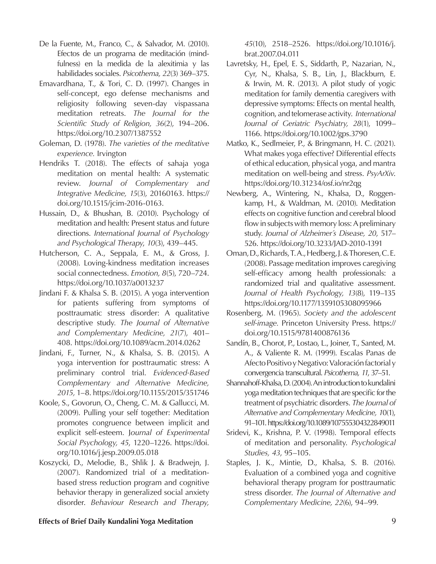- De la Fuente, M., Franco, C., & Salvador, M. (2010). Efectos de un programa de meditación (mindfulness) en la medida de la alexitimia y las habilidades sociales. *Psicothema, 22*(3) 369–375.
- Emavardhana, T., & Tori, C. D. (1997). Changes in self-concept, ego defense mechanisms and religiosity following seven-day vispassana meditation retreats. *The Journal for the Scientific Study of Religion, 36*(2), 194–206. https://doi.org/10.2307/1387552
- Goleman, D. (1978). *The varieties of the meditative experience.* Irvington
- Hendriks T. (2018). The effects of sahaja yoga meditation on mental health: A systematic review. *Journal of Complementary and Integrative Medicine, 15*(3), 20160163. https:// doi.org/10.1515/jcim-2016-0163.
- Hussain, D., & Bhushan, B. (2010). Psychology of meditation and health: Present status and future directions. *International Journal of Psychology and Psychological Therapy*, *10*(3), 439–445.
- Hutcherson, C. A., Seppala, E. M., & Gross, J. (2008). Loving-kindness meditation increases social connectedness. *Emotion, 8*(5), 720–724. https://doi.org/10.1037/a0013237
- Jindani F. & Khalsa S. B. (2015). A yoga intervention for patients suffering from symptoms of posttraumatic stress disorder: A qualitative descriptive study*. The Journal of Alternative and Complementary Medicine, 21*(7), 401– 408. https://doi.org/10.1089/acm.2014.0262
- Jindani, F., Turner, N., & Khalsa, S. B. (2015). A yoga intervention for posttraumatic stress: A preliminary control trial. *Evidenced-Based Complementary and Alternative Medicine, 2015,* 1–8. https://doi.org/10.1155/2015/351746
- Koole, S., Govorun, O., Cheng, C. M. & Gallucci, M. (2009). Pulling your self together: Meditation promotes congruence between implicit and explicit self-esteem. J*ournal of Experimental Social Psychology, 45*, 1220–1226. https://doi. org/10.1016/j.jesp.2009.05.018
- Koszycki, D., Melodie, B., Shlik J. & Bradwejn, J. (2007). Randomized trial of a meditationbased stress reduction program and cognitive behavior therapy in generalized social anxiety disorder. *Behaviour Research and Therapy,*

*45*(10), 2518–2526. https://doi.org/10.1016/j. brat.2007.04.011

- Lavretsky, H., Epel, E. S., Siddarth, P., Nazarian, N., Cyr, N., Khalsa, S. B., Lin, J., Blackburn, E. & Irwin, M. R. (2013). A pilot study of yogic meditation for family dementia caregivers with depressive symptoms: Effects on mental health, cognition, and telomerase activity. *International Journal of Geriatric Psychiatry, 28*(1), 1099– 1166. https://doi.org/10.1002/gps.3790
- Matko, K., Sedlmeier, P., & Bringmann, H. C. (2021). What makes yoga effective? Differential effects of ethical education, physical yoga, and mantra meditation on well-being and stress. *PsyArXiv*. https://doi.org/10.31234/osf.io/nr2qg
- Newberg, A., Wintering, N., Khalsa, D., Roggenkamp, H., & Waldman, M. (2010). Meditation effects on cognitive function and cerebral blood flow in subjects with memory loss: A preliminary study. *Journal of Alzheimer´s Disease, 20*, 517– 526. https://doi.org/10.3233/JAD-2010-1391
- Oman, D., Richards, T. A., Hedberg, J. & Thoresen, C. E. (2008). Passage meditation improves caregiving self-efficacy among health professionals: a randomized trial and qualitative assessment. *Journal of Health Psychology, 13*(8), 119–135 https://doi.org/10.1177/1359105308095966
- Rosenberg, M. (1965). *Society and the adolescent self-image.* Princeton University Press. https:// doi.org/10.1515/9781400876136
- Sandín, B., Chorot, P., Lostao, L., Joiner, T., Santed, M. A., & Valiente R. M. (1999). Escalas Panas de Afecto Positivo y Negativo: Valoración factorial y convergencia transcultural. *Psicothema, 11*, 37–51.
- Shannahoff-Khalsa, D. (2004). An introduction to kundalini yoga meditation techniques that are specific for the treatment of psychiatric disorders. *The Journal of Alternative and Complementary Medicine, 1*0(1), 91–101. https://doi.org/10.1089/107555304322849011
- Sridevi, K., Krishna, P. V. (1998). Temporal effects of meditation and personality. *Psychological Studies, 43*, 95–105.
- Staples, J. K., Mintie, D., Khalsa, S. B. (2016). Evaluation of a combined yoga and cognitive behavioral therapy program for posttraumatic stress disorder. *The Journal of Alternative and Complementary Medicine, 22*(6), 94–99.

## **Effects of Brief Daily Kundalini Yoga Meditation** 9